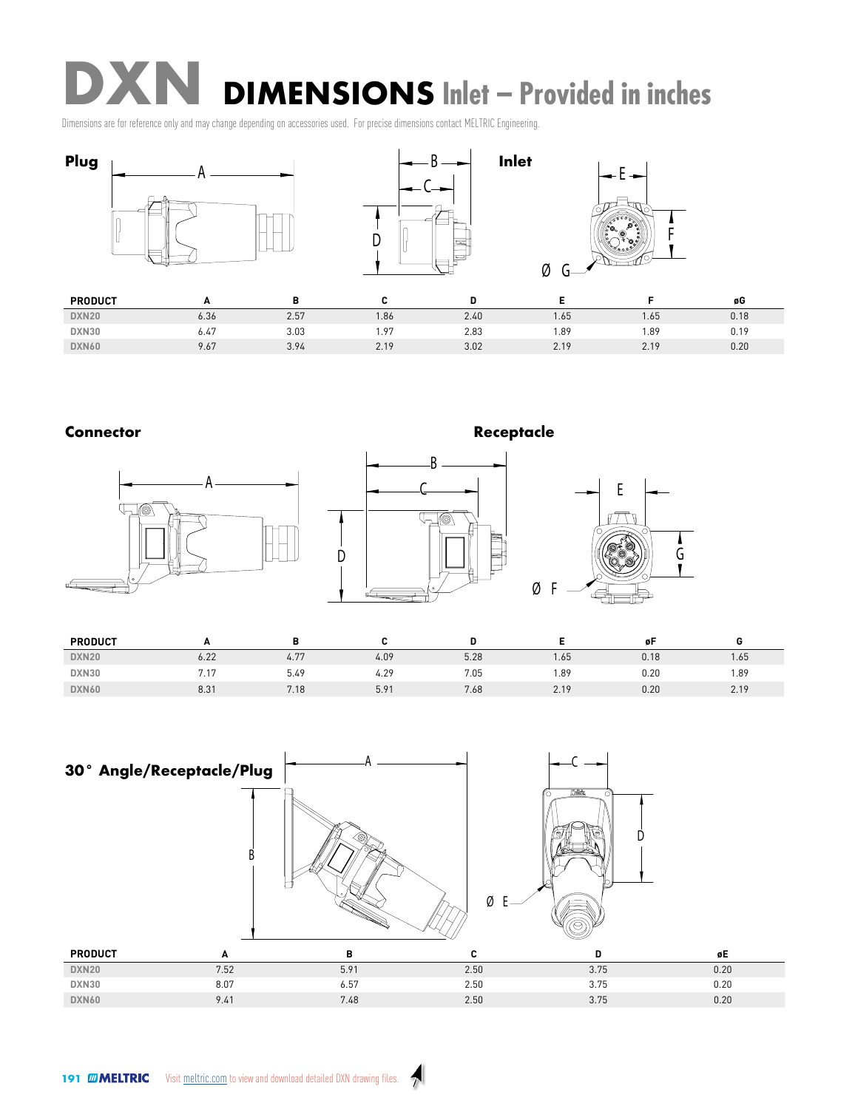**DXN** DIMENSIONS Inlet – Provided in inches In Indian Property of the United States

Dimensions are for reference only and may change depending on accessories used. For precise dimensions contact MELTRIC Engineering.



## **Connector**







| <b>PRODUCT</b> | -              |      |      |      |                                      | ør   |      |
|----------------|----------------|------|------|------|--------------------------------------|------|------|
| DXN20          | 6.22           | 4.77 | 4.09 | 5.28 | 1.65                                 | 0.18 | 1.65 |
| DXN30          | 715<br>, , , , | 5.49 | 4.29 | 7.05 | 1.89<br>and the contract of the con- | 0.20 | 1.89 |
| <b>DXN60</b>   | 8.31           | 7.18 | 5.91 | 7.68 | 2.19                                 | 0.20 | 2.19 |